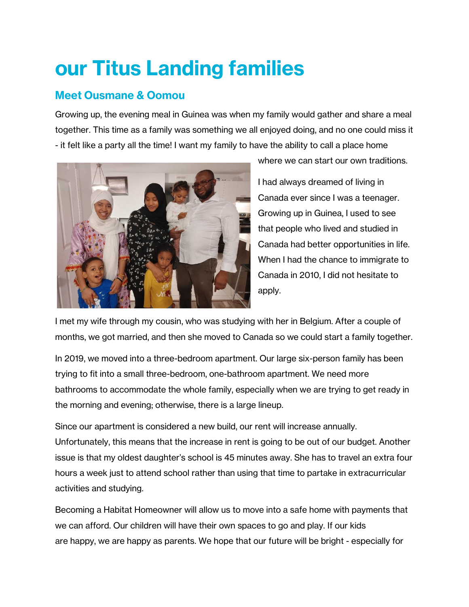## **our Titus Landing families**

## **Meet Ousmane & Oomou**

Growing up, the evening meal in Guinea was when my family would gather and share a meal together. This time as a family was something we all enjoyed doing, and no one could miss it - it felt like a party all the time! I want my family to have the ability to call a place home



where we can start our own traditions.

I had always dreamed of living in Canada ever since I was a teenager. Growing up in Guinea, I used to see that people who lived and studied in Canada had better opportunities in life. When I had the chance to immigrate to Canada in 2010, I did not hesitate to apply.

I met my wife through my cousin, who was studying with her in Belgium. After a couple of months, we got married, and then she moved to Canada so we could start a family together.

In 2019, we moved into a three-bedroom apartment. Our large six-person family has been trying to fit into a small three-bedroom, one-bathroom apartment. We need more bathrooms to accommodate the whole family, especially when we are trying to get ready in the morning and evening; otherwise, there is a large lineup.

Since our apartment is considered a new build, our rent will increase annually. Unfortunately, this means that the increase in rent is going to be out of our budget. Another issue is that my oldest daughter's school is 45 minutes away. She has to travel an extra four hours a week just to attend school rather than using that time to partake in extracurricular activities and studying.

Becoming a Habitat Homeowner will allow us to move into a safe home with payments that we can afford. Our children will have their own spaces to go and play. If our kids are happy, we are happy as parents. We hope that our future will be bright - especially for